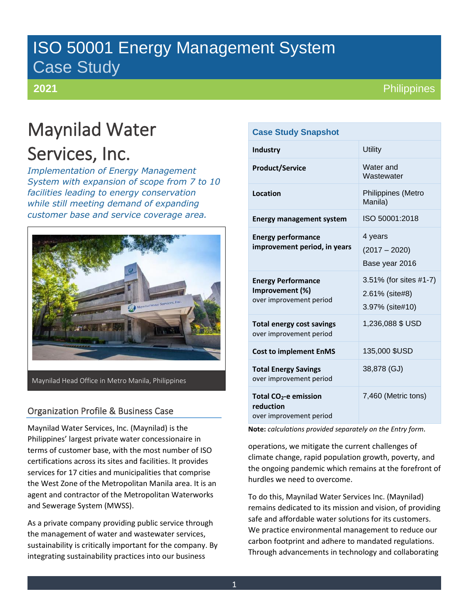# ISO 50001 Energy Management System Case Study

**2021**

**Philippines** 

# Maynilad Water Services, Inc.

*Implementation of Energy Management System with expansion of scope from 7 to 10 facilities leading to energy conservation while still meeting demand of expanding customer base and service coverage area.*



Maynilad Head Office in Metro Manila, Philippines

# Organization Profile & Business Case

Maynilad Water Services, Inc. (Maynilad) is the Philippines' largest private water concessionaire in terms of customer base, with the most number of ISO certifications across its sites and facilities. It provides services for 17 cities and municipalities that comprise the West Zone of the Metropolitan Manila area. It is an agent and contractor of the Metropolitan Waterworks and Sewerage System (MWSS).

As a private company providing public service through the management of water and wastewater services, sustainability is critically important for the company. By integrating sustainability practices into our business

## **Case Study Snapshot**

| <b>Industry</b>                                                           | <b>Utility</b>                                              |
|---------------------------------------------------------------------------|-------------------------------------------------------------|
| <b>Product/Service</b>                                                    | Water and<br>Wastewater                                     |
| Location                                                                  | Philippines (Metro<br>Manila)                               |
| <b>Energy management system</b>                                           | ISO 50001:2018                                              |
| <b>Energy performance</b><br>improvement period, in years                 | 4 years<br>$(2017 - 2020)$<br>Base year 2016                |
| <b>Energy Performance</b><br>Improvement (%)<br>over improvement period   | 3.51% (for sites #1-7)<br>2.61% (site#8)<br>3.97% (site#10) |
| <b>Total energy cost savings</b><br>over improvement period               | 1,236,088 \$ USD                                            |
| <b>Cost to implement EnMS</b>                                             | 135,000 \$USD                                               |
| <b>Total Energy Savings</b><br>over improvement period                    | 38,878 (GJ)                                                 |
| Total CO <sub>2</sub> -e emission<br>reduction<br>over improvement period | 7,460 (Metric tons)                                         |

**Note:** *calculations provided separately on the Entry form.*

operations, we mitigate the current challenges of climate change, rapid population growth, poverty, and the ongoing pandemic which remains at the forefront of hurdles we need to overcome.

To do this, Maynilad Water Services Inc. (Maynilad) remains dedicated to its mission and vision, of providing safe and affordable water solutions for its customers. We practice environmental management to reduce our carbon footprint and adhere to mandated regulations. Through advancements in technology and collaborating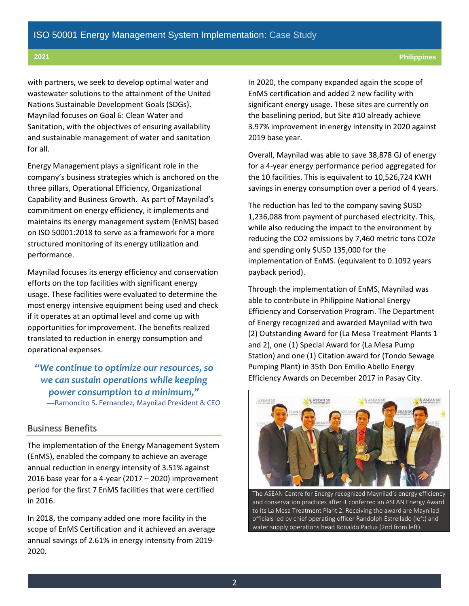with partners, we seek to develop optimal water and wastewater solutions to the attainment of the United Nations Sustainable Development Goals (SDGs). Maynilad focuses on Goal 6: Clean Water and Sanitation, with the objectives of ensuring availability and sustainable management of water and sanitation for all.

Energy Management plays a significant role in the company's business strategies which is anchored on the three pillars, Operational Efficiency, Organizational Capability and Business Growth. As part of Maynilad's commitment on energy efficiency, it implements and maintains its energy management system (EnMS) based on ISO 50001:2018 to serve as a framework for a more structured monitoring of its energy utilization and performance.

Maynilad focuses its energy efficiency and conservation efforts on the top facilities with significant energy usage. These facilities were evaluated to determine the most energy intensive equipment being used and check if it operates at an optimal level and come up with opportunities for improvement. The benefits realized translated to reduction in energy consumption and operational expenses.

*"We continue to optimize our resources, so we can sustain operations while keeping power consumption to a minimum,"* —Ramoncito S. Fernandez, Maynilad President & CEO

#### Business Benefits

The implementation of the Energy Management System (EnMS), enabled the company to achieve an average annual reduction in energy intensity of 3.51% against 2016 base year for a 4-year (2017 – 2020) improvement period for the first 7 EnMS facilities that were certified in 2016.

In 2018, the company added one more facility in the scope of EnMS Certification and it achieved an average annual savings of 2.61% in energy intensity from 2019- 2020.

In 2020, the company expanded again the scope of EnMS certification and added 2 new facility with significant energy usage. These sites are currently on the baselining period, but Site #10 already achieve 3.97% improvement in energy intensity in 2020 against 2019 base year.

Overall, Maynilad was able to save 38,878 GJ of energy for a 4-year energy performance period aggregated for the 10 facilities. This is equivalent to 10,526,724 KWH savings in energy consumption over a period of 4 years.

The reduction has led to the company saving \$USD 1,236,088 from payment of purchased electricity. This, while also reducing the impact to the environment by reducing the CO2 emissions by 7,460 metric tons CO2e and spending only \$USD 135,000 for the implementation of EnMS. (equivalent to 0.1092 years payback period).

Through the implementation of EnMS, Maynilad was able to contribute in Philippine National Energy Efficiency and Conservation Program. The Department of Energy recognized and awarded Maynilad with two (2) Outstanding Award for (La Mesa Treatment Plants 1 and 2), one (1) Special Award for (La Mesa Pump Station) and one (1) Citation award for (Tondo Sewage Pumping Plant) in 35th Don Emilio Abello Energy Efficiency Awards on December 2017 in Pasay City.



The ASEAN Centre for Energy recognized Maynilad's energy efficiency and conservation practices after it conferred an ASEAN Energy Award to its La Mesa Treatment Plant 2. Receiving the award are Maynilad officials led by chief operating officer Randolph Estrellado (left) and water supply operations head Ronaldo Padua (2nd from left).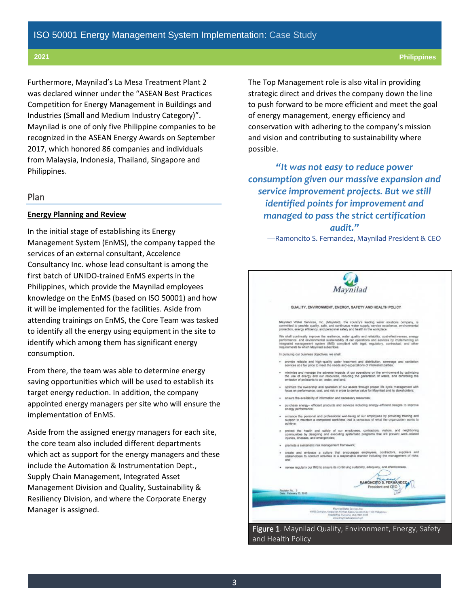Furthermore, Maynilad's La Mesa Treatment Plant 2 was declared winner under the "ASEAN Best Practices Competition for Energy Management in Buildings and Industries (Small and Medium Industry Category)". Maynilad is one of only five Philippine companies to be recognized in the ASEAN Energy Awards on September 2017, which honored 86 companies and individuals from Malaysia, Indonesia, Thailand, Singapore and Philippines.

#### Plan

#### **Energy Planning and Review**

In the initial stage of establishing its Energy Management System (EnMS), the company tapped the services of an external consultant, Accelence Consultancy Inc. whose lead consultant is among the first batch of UNIDO-trained EnMS experts in the Philippines, which provide the Maynilad employees knowledge on the EnMS (based on ISO 50001) and how it will be implemented for the facilities. Aside from attending trainings on EnMS, the Core Team was tasked to identify all the energy using equipment in the site to identify which among them has significant energy consumption.

From there, the team was able to determine energy saving opportunities which will be used to establish its target energy reduction. In addition, the company appointed energy managers per site who will ensure the implementation of EnMS.

Aside from the assigned energy managers for each site, the core team also included different departments which act as support for the energy managers and these include the Automation & Instrumentation Dept., Supply Chain Management, Integrated Asset Management Division and Quality, Sustainability & Resiliency Division, and where the Corporate Energy Manager is assigned.

The Top Management role is also vital in providing strategic direct and drives the company down the line to push forward to be more efficient and meet the goal of energy management, energy efficiency and conservation with adhering to the company's mission and vision and contributing to sustainability where possible.

*"It was not easy to reduce power consumption given our massive expansion and service improvement projects. But we still identified points for improvement and managed to pass the strict certification audit."*

—Ramoncito S. Fernandez, Maynilad President & CEO

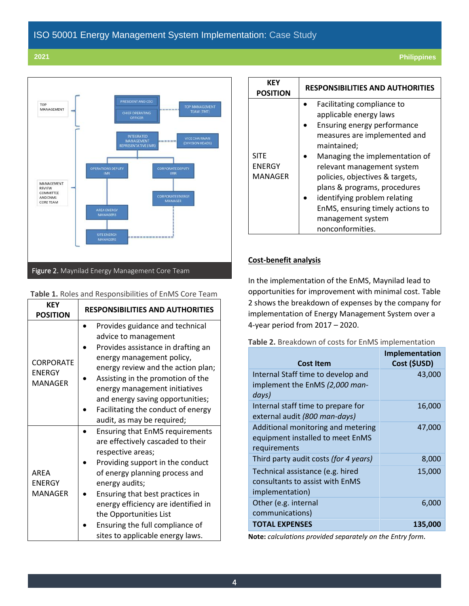

#### **Table 1.** Roles and Responsibilities of EnMS Core Team

| <b>KEY</b><br><b>POSITION</b>                       | <b>RESPONSIBILITIES AND AUTHORITIES</b>                                                                                                                                                                                                                                                                                                                             |  |  |
|-----------------------------------------------------|---------------------------------------------------------------------------------------------------------------------------------------------------------------------------------------------------------------------------------------------------------------------------------------------------------------------------------------------------------------------|--|--|
| <b>CORPORATE</b><br><b>ENERGY</b><br><b>MANAGER</b> | Provides guidance and technical<br>advice to management<br>Provides assistance in drafting an<br>energy management policy,<br>energy review and the action plan;<br>Assisting in the promotion of the<br>energy management initiatives<br>and energy saving opportunities;<br>Facilitating the conduct of energy<br>audit, as may be required;                      |  |  |
| <b>AREA</b><br><b>ENERGY</b><br><b>MANAGER</b>      | <b>Ensuring that EnMS requirements</b><br>are effectively cascaded to their<br>respective areas;<br>Providing support in the conduct<br>of energy planning process and<br>energy audits;<br>Ensuring that best practices in<br>energy efficiency are identified in<br>the Opportunities List<br>Ensuring the full compliance of<br>sites to applicable energy laws. |  |  |

| KFY<br><b>POSITION</b>                  | <b>RESPONSIBILITIES AND AUTHORITIES</b>                                                                                                                                                                                                                                                                                                                                            |  |  |
|-----------------------------------------|------------------------------------------------------------------------------------------------------------------------------------------------------------------------------------------------------------------------------------------------------------------------------------------------------------------------------------------------------------------------------------|--|--|
| <b>SITE</b><br><b>ENERGY</b><br>MANAGER | Facilitating compliance to<br>applicable energy laws<br>Ensuring energy performance<br>measures are implemented and<br>maintained;<br>Managing the implementation of<br>relevant management system<br>policies, objectives & targets,<br>plans & programs, procedures<br>identifying problem relating<br>EnMS, ensuring timely actions to<br>management system<br>nonconformities. |  |  |

#### **Cost-benefit analysis**

In the implementation of the EnMS, Maynilad lead to opportunities for improvement with minimal cost. Table 2 shows the breakdown of expenses by the company for implementation of Energy Management System over a 4-year period from 2017 – 2020.

| Table 2. Breakdown of costs for EnMS implementation |  |  |  |  |  |
|-----------------------------------------------------|--|--|--|--|--|
|-----------------------------------------------------|--|--|--|--|--|

| Cost Item                                                                              | Implementation<br>Cost (\$USD) |
|----------------------------------------------------------------------------------------|--------------------------------|
| Internal Staff time to develop and<br>implement the EnMS (2,000 man-<br>days)          | 43,000                         |
| Internal staff time to prepare for<br>external audit (800 man-days)                    | 16,000                         |
| Additional monitoring and metering<br>equipment installed to meet EnMS<br>requirements | 47,000                         |
| Third party audit costs (for 4 years)                                                  | 8,000                          |
| Technical assistance (e.g. hired<br>consultants to assist with EnMS<br>implementation) | 15,000                         |
| Other (e.g. internal<br>communications)                                                | 6,000                          |
| <b>TOTAL EXPENSES</b>                                                                  | 135,000                        |

**Note:** *calculations provided separately on the Entry form.*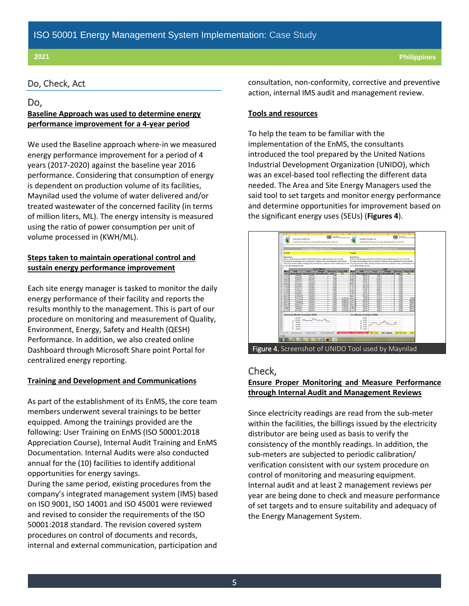# ISO 50001 Energy Management System Implementation: Case Study

#### Do, Check, Act

### Do,

### **Baseline Approach was used to determine energy performance improvement for a 4-year period**

We used the Baseline approach where-in we measured energy performance improvement for a period of 4 years (2017-2020) against the baseline year 2016 performance. Considering that consumption of energy is dependent on production volume of its facilities, Maynilad used the volume of water delivered and/or treated wastewater of the concerned facility (in terms of million liters, ML). The energy intensity is measured using the ratio of power consumption per unit of volume processed in (KWH/ML).

#### **Steps taken to maintain operational control and sustain energy performance improvement**

Each site energy manager is tasked to monitor the daily energy performance of their facility and reports the results monthly to the management. This is part of our procedure on monitoring and measurement of Quality, Environment, Energy, Safety and Health (QESH) Performance. In addition, we also created online Dashboard through Microsoft Share point Portal for centralized energy reporting.

#### **Training and Development and Communications**

As part of the establishment of its EnMS, the core team members underwent several trainings to be better equipped. Among the trainings provided are the following: User Training on EnMS (ISO 50001:2018 Appreciation Course), Internal Audit Training and EnMS Documentation. Internal Audits were also conducted annual for the (10) facilities to identify additional opportunities for energy savings.

During the same period, existing procedures from the company's integrated management system (IMS) based on ISO 9001, ISO 14001 and ISO 45001 were reviewed and revised to consider the requirements of the ISO 50001:2018 standard. The revision covered system procedures on control of documents and records, internal and external communication, participation and

consultation, non-conformity, corrective and preventive action, internal IMS audit and management review.

#### **Tools and resources**

To help the team to be familiar with the implementation of the EnMS, the consultants introduced the tool prepared by the United Nations Industrial Development Organization (UNIDO), which was an excel-based tool reflecting the different data needed. The Area and Site Energy Managers used the said tool to set targets and monitor energy performance and determine opportunities for improvement based on the significant energy uses (SEUs) (**Figures 4**).



#### Check,

### **Ensure Proper Monitoring and Measure Performance through Internal Audit and Management Reviews**

Since electricity readings are read from the sub-meter within the facilities, the billings issued by the electricity distributor are being used as basis to verify the consistency of the monthly readings. In addition, the sub-meters are subjected to periodic calibration/ verification consistent with our system procedure on control of monitoring and measuring equipment. Internal audit and at least 2 management reviews per year are being done to check and measure performance of set targets and to ensure suitability and adequacy of the Energy Management System.